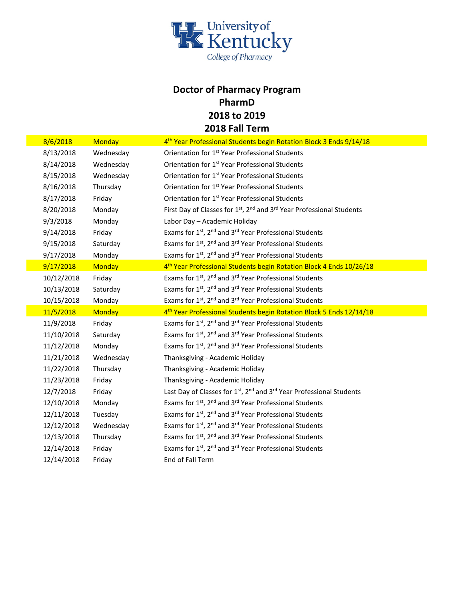

## **Doctor of Pharmacy Program PharmD 2018 to 2019 2018 Fall Term**

| 8/6/2018   | <b>Monday</b> | 4 <sup>th</sup> Year Professional Students begin Rotation Block 3 Ends 9/14/18                            |
|------------|---------------|-----------------------------------------------------------------------------------------------------------|
| 8/13/2018  | Wednesday     | Orientation for 1 <sup>st</sup> Year Professional Students                                                |
| 8/14/2018  | Wednesday     | Orientation for 1 <sup>st</sup> Year Professional Students                                                |
| 8/15/2018  | Wednesday     | Orientation for 1 <sup>st</sup> Year Professional Students                                                |
| 8/16/2018  | Thursday      | Orientation for 1 <sup>st</sup> Year Professional Students                                                |
| 8/17/2018  | Friday        | Orientation for 1 <sup>st</sup> Year Professional Students                                                |
| 8/20/2018  | Monday        | First Day of Classes for 1 <sup>st</sup> , 2 <sup>nd</sup> and 3 <sup>rd</sup> Year Professional Students |
| 9/3/2018   | Monday        | Labor Day - Academic Holiday                                                                              |
| 9/14/2018  | Friday        | Exams for 1 <sup>st</sup> , 2 <sup>nd</sup> and 3 <sup>rd</sup> Year Professional Students                |
| 9/15/2018  | Saturday      | Exams for 1st, 2 <sup>nd</sup> and 3 <sup>rd</sup> Year Professional Students                             |
| 9/17/2018  | Monday        | Exams for 1 <sup>st</sup> , 2 <sup>nd</sup> and 3 <sup>rd</sup> Year Professional Students                |
| 9/17/2018  | Monday        | 4 <sup>th</sup> Year Professional Students begin Rotation Block 4 Ends 10/26/18                           |
| 10/12/2018 | Friday        | Exams for 1 <sup>st</sup> , 2 <sup>nd</sup> and 3 <sup>rd</sup> Year Professional Students                |
| 10/13/2018 | Saturday      | Exams for 1 <sup>st</sup> , 2 <sup>nd</sup> and 3 <sup>rd</sup> Year Professional Students                |
| 10/15/2018 | Monday        | Exams for 1st, 2 <sup>nd</sup> and 3 <sup>rd</sup> Year Professional Students                             |
| 11/5/2018  | <b>Monday</b> | 4 <sup>th</sup> Year Professional Students begin Rotation Block 5 Ends 12/14/18                           |
| 11/9/2018  | Friday        | Exams for 1st, 2 <sup>nd</sup> and 3 <sup>rd</sup> Year Professional Students                             |
| 11/10/2018 | Saturday      | Exams for 1 <sup>st</sup> , 2 <sup>nd</sup> and 3 <sup>rd</sup> Year Professional Students                |
| 11/12/2018 | Monday        | Exams for 1 <sup>st</sup> , 2 <sup>nd</sup> and 3 <sup>rd</sup> Year Professional Students                |
| 11/21/2018 | Wednesday     | Thanksgiving - Academic Holiday                                                                           |
| 11/22/2018 | Thursday      | Thanksgiving - Academic Holiday                                                                           |
| 11/23/2018 | Friday        | Thanksgiving - Academic Holiday                                                                           |
| 12/7/2018  | Friday        | Last Day of Classes for 1 <sup>st</sup> , 2 <sup>nd</sup> and 3 <sup>rd</sup> Year Professional Students  |
| 12/10/2018 | Monday        | Exams for 1 <sup>st</sup> , 2 <sup>nd</sup> and 3 <sup>rd</sup> Year Professional Students                |
| 12/11/2018 | Tuesday       | Exams for 1st, 2 <sup>nd</sup> and 3 <sup>rd</sup> Year Professional Students                             |
| 12/12/2018 | Wednesday     | Exams for 1 <sup>st</sup> , 2 <sup>nd</sup> and 3 <sup>rd</sup> Year Professional Students                |
| 12/13/2018 | Thursday      | Exams for 1st, 2 <sup>nd</sup> and 3 <sup>rd</sup> Year Professional Students                             |
| 12/14/2018 | Friday        | Exams for 1 <sup>st</sup> , 2 <sup>nd</sup> and 3 <sup>rd</sup> Year Professional Students                |
| 12/14/2018 | Friday        | End of Fall Term                                                                                          |